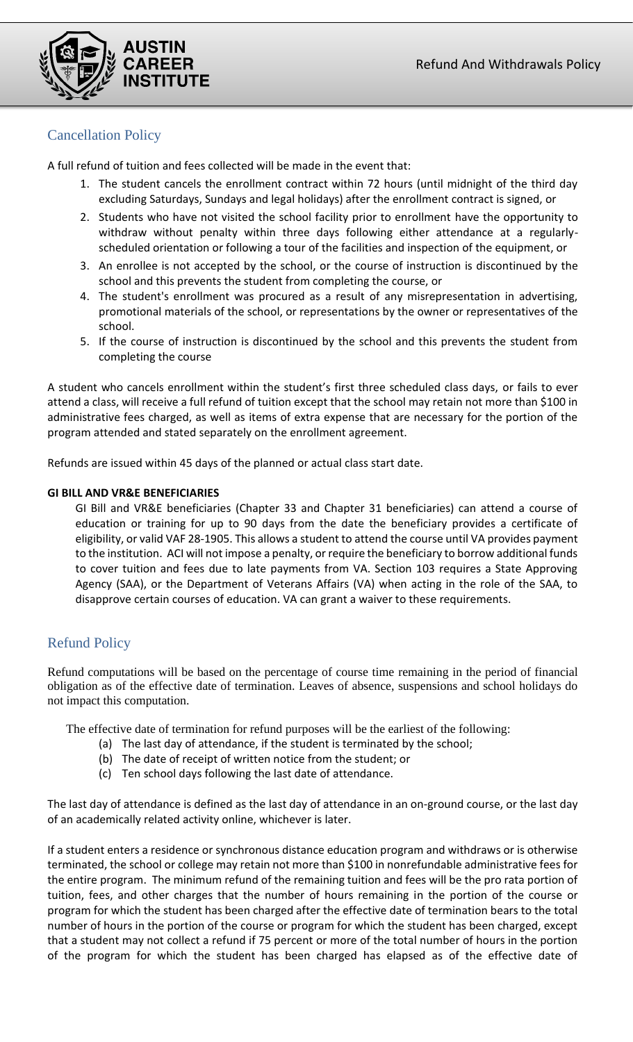

# Cancellation Policy

A full refund of tuition and fees collected will be made in the event that:

- 1. The student cancels the enrollment contract within 72 hours (until midnight of the third day excluding Saturdays, Sundays and legal holidays) after the enrollment contract is signed, or
- 2. Students who have not visited the school facility prior to enrollment have the opportunity to withdraw without penalty within three days following either attendance at a regularlyscheduled orientation or following a tour of the facilities and inspection of the equipment, or
- 3. An enrollee is not accepted by the school, or the course of instruction is discontinued by the school and this prevents the student from completing the course, or
- 4. The student's enrollment was procured as a result of any misrepresentation in advertising, promotional materials of the school, or representations by the owner or representatives of the school.
- 5. If the course of instruction is discontinued by the school and this prevents the student from completing the course

A student who cancels enrollment within the student's first three scheduled class days, or fails to ever attend a class, will receive a full refund of tuition except that the school may retain not more than \$100 in administrative fees charged, as well as items of extra expense that are necessary for the portion of the program attended and stated separately on the enrollment agreement.

Refunds are issued within 45 days of the planned or actual class start date.

## **GI BILL AND VR&E BENEFICIARIES**

GI Bill and VR&E beneficiaries (Chapter 33 and Chapter 31 beneficiaries) can attend a course of education or training for up to 90 days from the date the beneficiary provides a certificate of eligibility, or valid VAF 28-1905. This allows a student to attend the course until VA provides payment to the institution. ACI will not impose a penalty, or require the beneficiary to borrow additional funds to cover tuition and fees due to late payments from VA. Section 103 requires a State Approving Agency (SAA), or the Department of Veterans Affairs (VA) when acting in the role of the SAA, to disapprove certain courses of education. VA can grant a waiver to these requirements.

# Refund Policy

Refund computations will be based on the percentage of course time remaining in the period of financial obligation as of the effective date of termination. Leaves of absence, suspensions and school holidays do not impact this computation.

The effective date of termination for refund purposes will be the earliest of the following:

- (a) The last day of attendance, if the student is terminated by the school;
- (b) The date of receipt of written notice from the student; or
- (c) Ten school days following the last date of attendance.

The last day of attendance is defined as the last day of attendance in an on-ground course, or the last day of an academically related activity online, whichever is later.

If a student enters a residence or synchronous distance education program and withdraws or is otherwise terminated, the school or college may retain not more than \$100 in nonrefundable administrative fees for the entire program. The minimum refund of the remaining tuition and fees will be the pro rata portion of tuition, fees, and other charges that the number of hours remaining in the portion of the course or program for which the student has been charged after the effective date of termination bears to the total number of hours in the portion of the course or program for which the student has been charged, except that a student may not collect a refund if 75 percent or more of the total number of hours in the portion of the program for which the student has been charged has elapsed as of the effective date of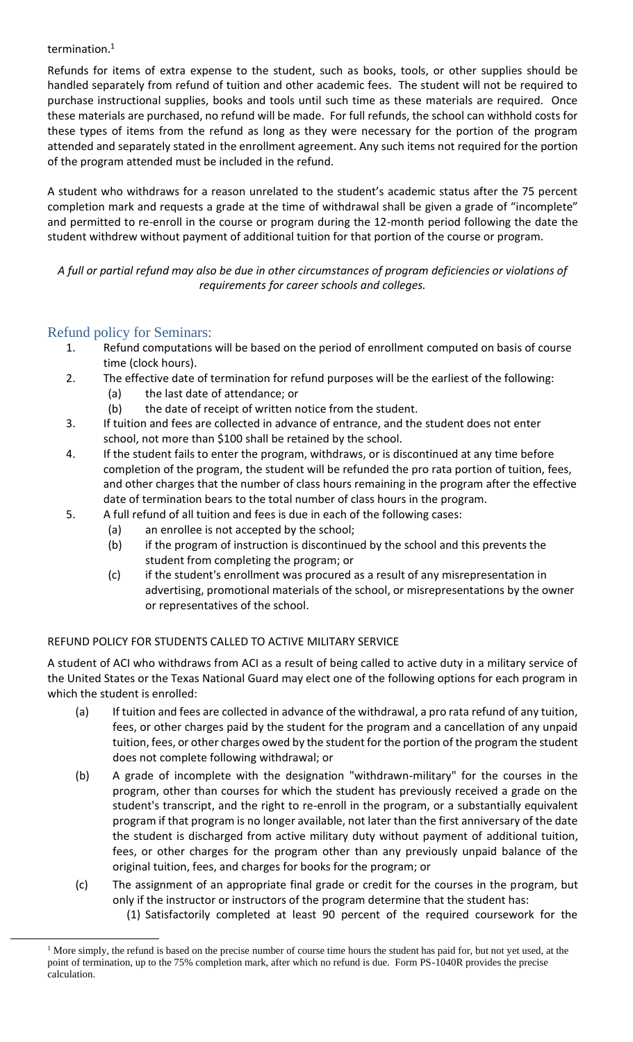## termination.<sup>1</sup>

Refunds for items of extra expense to the student, such as books, tools, or other supplies should be handled separately from refund of tuition and other academic fees. The student will not be required to purchase instructional supplies, books and tools until such time as these materials are required. Once these materials are purchased, no refund will be made. For full refunds, the school can withhold costs for these types of items from the refund as long as they were necessary for the portion of the program attended and separately stated in the enrollment agreement. Any such items not required for the portion of the program attended must be included in the refund.

A student who withdraws for a reason unrelated to the student's academic status after the 75 percent completion mark and requests a grade at the time of withdrawal shall be given a grade of "incomplete" and permitted to re-enroll in the course or program during the 12-month period following the date the student withdrew without payment of additional tuition for that portion of the course or program.

*A full or partial refund may also be due in other circumstances of program deficiencies or violations of requirements for career schools and colleges.*

# Refund policy for Seminars:

- 1. Refund computations will be based on the period of enrollment computed on basis of course time (clock hours).
- 2. The effective date of termination for refund purposes will be the earliest of the following:
	- (a) the last date of attendance; or
	- (b) the date of receipt of written notice from the student.
- 3. If tuition and fees are collected in advance of entrance, and the student does not enter school, not more than \$100 shall be retained by the school.
- 4. If the student fails to enter the program, withdraws, or is discontinued at any time before completion of the program, the student will be refunded the pro rata portion of tuition, fees, and other charges that the number of class hours remaining in the program after the effective date of termination bears to the total number of class hours in the program.
- 5. A full refund of all tuition and fees is due in each of the following cases:
	- (a) an enrollee is not accepted by the school;
	- (b) if the program of instruction is discontinued by the school and this prevents the student from completing the program; or
	- (c) if the student's enrollment was procured as a result of any misrepresentation in advertising, promotional materials of the school, or misrepresentations by the owner or representatives of the school.

# REFUND POLICY FOR STUDENTS CALLED TO ACTIVE MILITARY SERVICE

A student of ACI who withdraws from ACI as a result of being called to active duty in a military service of the United States or the Texas National Guard may elect one of the following options for each program in which the student is enrolled:

- (a) If tuition and fees are collected in advance of the withdrawal, a pro rata refund of any tuition, fees, or other charges paid by the student for the program and a cancellation of any unpaid tuition, fees, or other charges owed by the student for the portion of the program the student does not complete following withdrawal; or
- (b) A grade of incomplete with the designation "withdrawn-military" for the courses in the program, other than courses for which the student has previously received a grade on the student's transcript, and the right to re-enroll in the program, or a substantially equivalent program if that program is no longer available, not later than the first anniversary of the date the student is discharged from active military duty without payment of additional tuition, fees, or other charges for the program other than any previously unpaid balance of the original tuition, fees, and charges for books for the program; or
- (c) The assignment of an appropriate final grade or credit for the courses in the program, but only if the instructor or instructors of the program determine that the student has:
	- (1) Satisfactorily completed at least 90 percent of the required coursework for the

<sup>&</sup>lt;sup>1</sup> More simply, the refund is based on the precise number of course time hours the student has paid for, but not yet used, at the point of termination, up to the 75% completion mark, after which no refund is due. Form PS-1040R provides the precise calculation.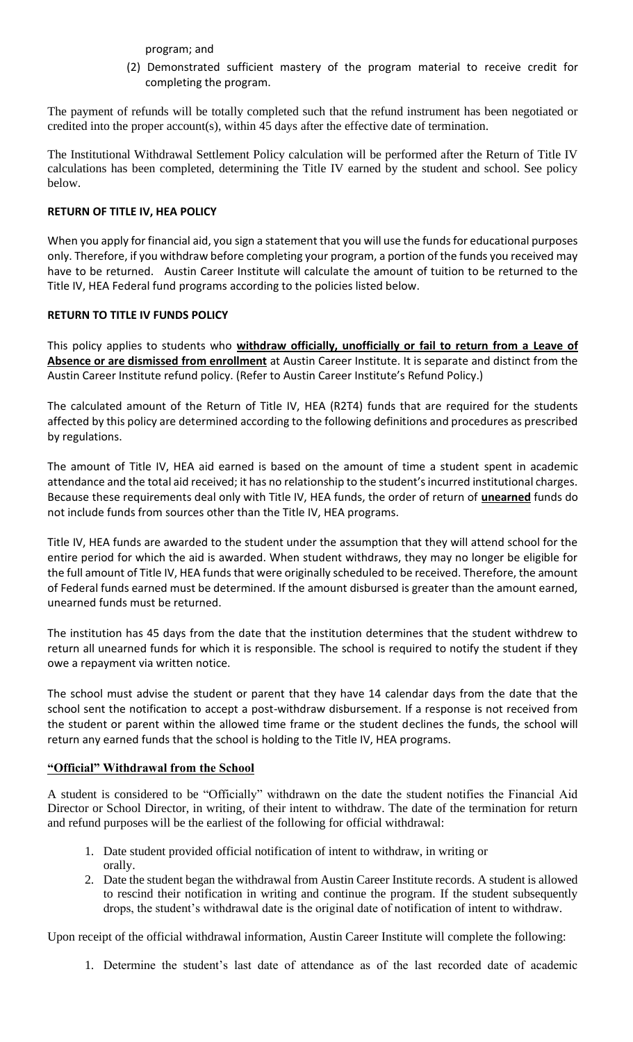program; and

(2) Demonstrated sufficient mastery of the program material to receive credit for completing the program.

The payment of refunds will be totally completed such that the refund instrument has been negotiated or credited into the proper account(s), within 45 days after the effective date of termination.

The Institutional Withdrawal Settlement Policy calculation will be performed after the Return of Title IV calculations has been completed, determining the Title IV earned by the student and school. See policy below.

# **RETURN OF TITLE IV, HEA POLICY**

When you apply for financial aid, you sign a statement that you will use the funds for educational purposes only. Therefore, if you withdraw before completing your program, a portion of the funds you received may have to be returned. Austin Career Institute will calculate the amount of tuition to be returned to the Title IV, HEA Federal fund programs according to the policies listed below.

#### **RETURN TO TITLE IV FUNDS POLICY**

This policy applies to students who **withdraw officially, unofficially or fail to return from a Leave of Absence or are dismissed from enrollment** at Austin Career Institute. It is separate and distinct from the Austin Career Institute refund policy. (Refer to Austin Career Institute's Refund Policy.)

The calculated amount of the Return of Title IV, HEA (R2T4) funds that are required for the students affected by this policy are determined according to the following definitions and procedures as prescribed by regulations.

The amount of Title IV, HEA aid earned is based on the amount of time a student spent in academic attendance and the total aid received; it has no relationship to the student's incurred institutional charges. Because these requirements deal only with Title IV, HEA funds, the order of return of **unearned** funds do not include funds from sources other than the Title IV, HEA programs.

Title IV, HEA funds are awarded to the student under the assumption that they will attend school for the entire period for which the aid is awarded. When student withdraws, they may no longer be eligible for the full amount of Title IV, HEA funds that were originally scheduled to be received. Therefore, the amount of Federal funds earned must be determined. If the amount disbursed is greater than the amount earned, unearned funds must be returned.

The institution has 45 days from the date that the institution determines that the student withdrew to return all unearned funds for which it is responsible. The school is required to notify the student if they owe a repayment via written notice.

The school must advise the student or parent that they have 14 calendar days from the date that the school sent the notification to accept a post-withdraw disbursement. If a response is not received from the student or parent within the allowed time frame or the student declines the funds, the school will return any earned funds that the school is holding to the Title IV, HEA programs.

#### **"Official" Withdrawal from the School**

A student is considered to be "Officially" withdrawn on the date the student notifies the Financial Aid Director or School Director, in writing, of their intent to withdraw. The date of the termination for return and refund purposes will be the earliest of the following for official withdrawal:

- 1. Date student provided official notification of intent to withdraw, in writing or orally.
- 2. Date the student began the withdrawal from Austin Career Institute records. A student is allowed to rescind their notification in writing and continue the program. If the student subsequently drops, the student's withdrawal date is the original date of notification of intent to withdraw.

Upon receipt of the official withdrawal information, Austin Career Institute will complete the following:

1. Determine the student's last date of attendance as of the last recorded date of academic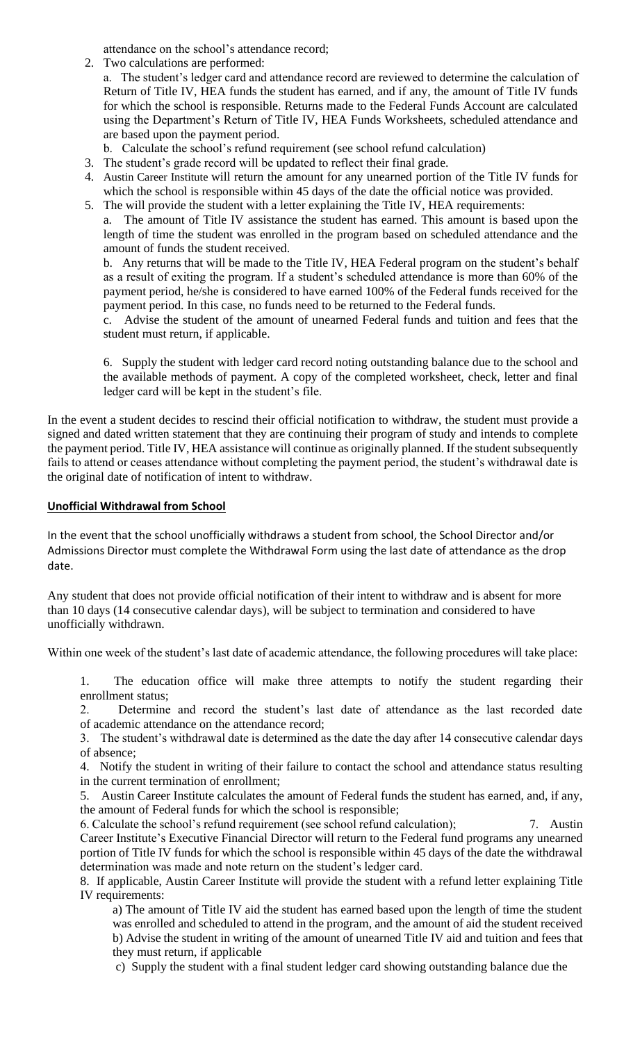attendance on the school's attendance record;

2. Two calculations are performed:

a. The student's ledger card and attendance record are reviewed to determine the calculation of Return of Title IV, HEA funds the student has earned, and if any, the amount of Title IV funds for which the school is responsible. Returns made to the Federal Funds Account are calculated using the Department's Return of Title IV, HEA Funds Worksheets, scheduled attendance and are based upon the payment period.

- b. Calculate the school's refund requirement (see school refund calculation)
- 3. The student's grade record will be updated to reflect their final grade.
- 4. Austin Career Institute will return the amount for any unearned portion of the Title IV funds for which the school is responsible within 45 days of the date the official notice was provided.
- 5. The will provide the student with a letter explaining the Title IV, HEA requirements:

a. The amount of Title IV assistance the student has earned. This amount is based upon the length of time the student was enrolled in the program based on scheduled attendance and the amount of funds the student received.

b. Any returns that will be made to the Title IV, HEA Federal program on the student's behalf as a result of exiting the program. If a student's scheduled attendance is more than 60% of the payment period, he/she is considered to have earned 100% of the Federal funds received for the payment period. In this case, no funds need to be returned to the Federal funds.

c. Advise the student of the amount of unearned Federal funds and tuition and fees that the student must return, if applicable.

6. Supply the student with ledger card record noting outstanding balance due to the school and the available methods of payment. A copy of the completed worksheet, check, letter and final ledger card will be kept in the student's file.

In the event a student decides to rescind their official notification to withdraw, the student must provide a signed and dated written statement that they are continuing their program of study and intends to complete the payment period. Title IV, HEA assistance will continue as originally planned. If the student subsequently fails to attend or ceases attendance without completing the payment period, the student's withdrawal date is the original date of notification of intent to withdraw.

## **Unofficial Withdrawal from School**

In the event that the school unofficially withdraws a student from school, the School Director and/or Admissions Director must complete the Withdrawal Form using the last date of attendance as the drop date.

Any student that does not provide official notification of their intent to withdraw and is absent for more than 10 days (14 consecutive calendar days), will be subject to termination and considered to have unofficially withdrawn.

Within one week of the student's last date of academic attendance, the following procedures will take place:

1. The education office will make three attempts to notify the student regarding their enrollment status;

2. Determine and record the student's last date of attendance as the last recorded date of academic attendance on the attendance record;

3. The student's withdrawal date is determined as the date the day after 14 consecutive calendar days of absence;

4. Notify the student in writing of their failure to contact the school and attendance status resulting in the current termination of enrollment;

5. Austin Career Institute calculates the amount of Federal funds the student has earned, and, if any, the amount of Federal funds for which the school is responsible;

6. Calculate the school's refund requirement (see school refund calculation); 7. Austin Career Institute's Executive Financial Director will return to the Federal fund programs any unearned portion of Title IV funds for which the school is responsible within 45 days of the date the withdrawal determination was made and note return on the student's ledger card.

8. If applicable, Austin Career Institute will provide the student with a refund letter explaining Title IV requirements:

a) The amount of Title IV aid the student has earned based upon the length of time the student was enrolled and scheduled to attend in the program, and the amount of aid the student received b) Advise the student in writing of the amount of unearned Title IV aid and tuition and fees that they must return, if applicable

c) Supply the student with a final student ledger card showing outstanding balance due the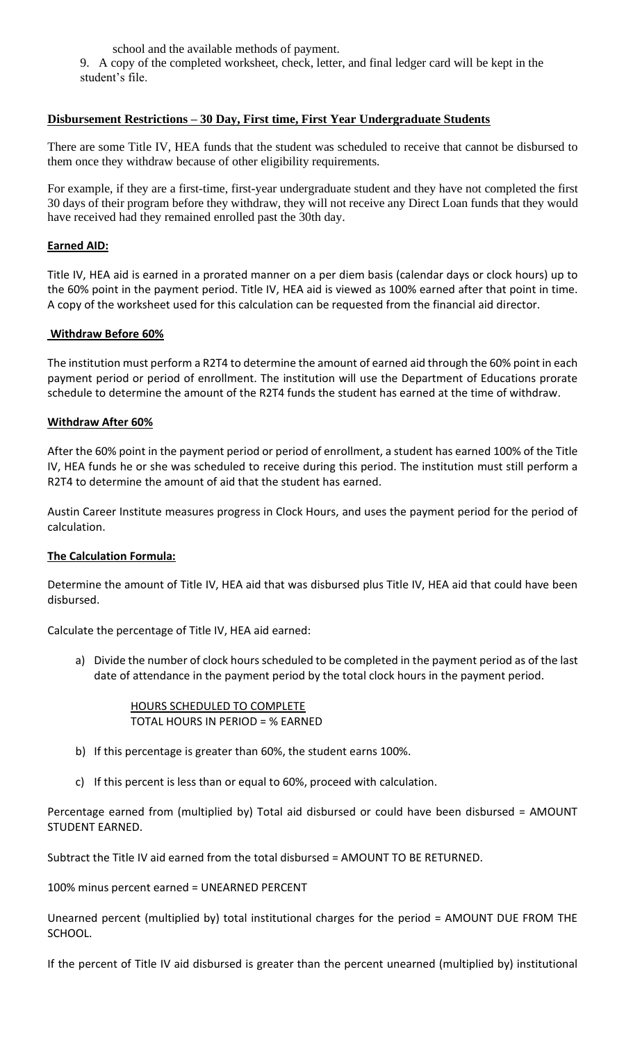school and the available methods of payment. 9. A copy of the completed worksheet, check, letter, and final ledger card will be kept in the student's file.

## **Disbursement Restrictions – 30 Day, First time, First Year Undergraduate Students**

There are some Title IV, HEA funds that the student was scheduled to receive that cannot be disbursed to them once they withdraw because of other eligibility requirements.

For example, if they are a first-time, first-year undergraduate student and they have not completed the first 30 days of their program before they withdraw, they will not receive any Direct Loan funds that they would have received had they remained enrolled past the 30th day.

#### **Earned AID:**

Title IV, HEA aid is earned in a prorated manner on a per diem basis (calendar days or clock hours) up to the 60% point in the payment period. Title IV, HEA aid is viewed as 100% earned after that point in time. A copy of the worksheet used for this calculation can be requested from the financial aid director.

#### **Withdraw Before 60%**

The institution must perform a R2T4 to determine the amount of earned aid through the 60% point in each payment period or period of enrollment. The institution will use the Department of Educations prorate schedule to determine the amount of the R2T4 funds the student has earned at the time of withdraw.

#### **Withdraw After 60%**

After the 60% point in the payment period or period of enrollment, a student has earned 100% of the Title IV, HEA funds he or she was scheduled to receive during this period. The institution must still perform a R2T4 to determine the amount of aid that the student has earned.

Austin Career Institute measures progress in Clock Hours, and uses the payment period for the period of calculation.

#### **The Calculation Formula:**

Determine the amount of Title IV, HEA aid that was disbursed plus Title IV, HEA aid that could have been disbursed.

Calculate the percentage of Title IV, HEA aid earned:

a) Divide the number of clock hours scheduled to be completed in the payment period as of the last date of attendance in the payment period by the total clock hours in the payment period.

> HOURS SCHEDULED TO COMPLETE TOTAL HOURS IN PERIOD = % EARNED

- b) If this percentage is greater than 60%, the student earns 100%.
- c) If this percent is less than or equal to 60%, proceed with calculation.

Percentage earned from (multiplied by) Total aid disbursed or could have been disbursed = AMOUNT STUDENT EARNED.

Subtract the Title IV aid earned from the total disbursed = AMOUNT TO BE RETURNED.

100% minus percent earned = UNEARNED PERCENT

Unearned percent (multiplied by) total institutional charges for the period = AMOUNT DUE FROM THE SCHOOL.

If the percent of Title IV aid disbursed is greater than the percent unearned (multiplied by) institutional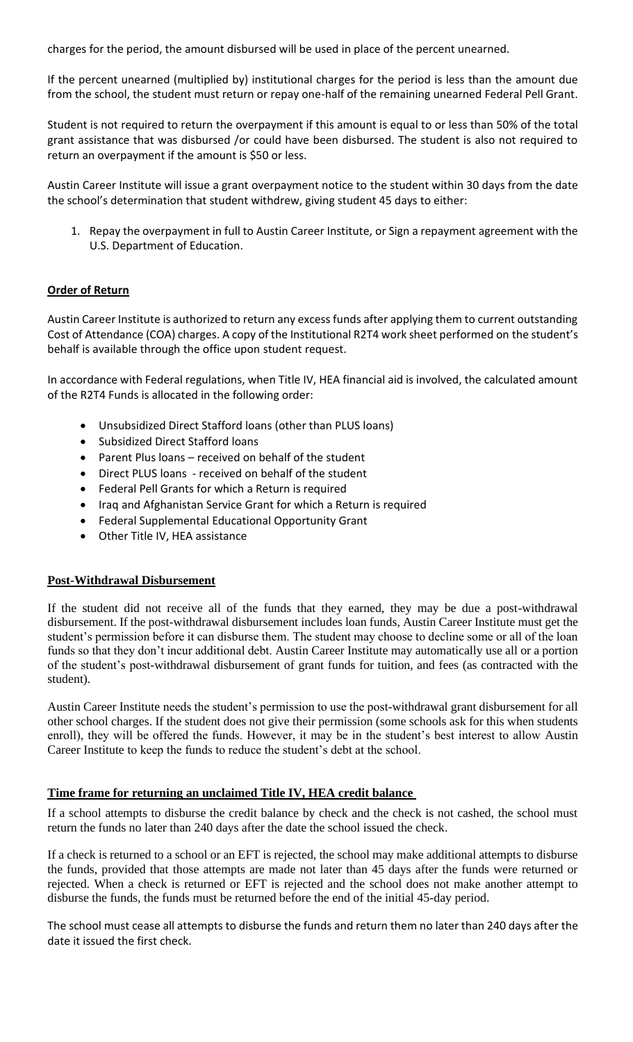charges for the period, the amount disbursed will be used in place of the percent unearned.

If the percent unearned (multiplied by) institutional charges for the period is less than the amount due from the school, the student must return or repay one-half of the remaining unearned Federal Pell Grant.

Student is not required to return the overpayment if this amount is equal to or less than 50% of the total grant assistance that was disbursed /or could have been disbursed. The student is also not required to return an overpayment if the amount is \$50 or less.

Austin Career Institute will issue a grant overpayment notice to the student within 30 days from the date the school's determination that student withdrew, giving student 45 days to either:

1. Repay the overpayment in full to Austin Career Institute, or Sign a repayment agreement with the U.S. Department of Education.

# **Order of Return**

Austin Career Institute is authorized to return any excess funds after applying them to current outstanding Cost of Attendance (COA) charges. A copy of the Institutional R2T4 work sheet performed on the student's behalf is available through the office upon student request.

In accordance with Federal regulations, when Title IV, HEA financial aid is involved, the calculated amount of the R2T4 Funds is allocated in the following order:

- Unsubsidized Direct Stafford loans (other than PLUS loans)
- Subsidized Direct Stafford loans
- Parent Plus loans received on behalf of the student
- Direct PLUS loans received on behalf of the student
- Federal Pell Grants for which a Return is required
- Iraq and Afghanistan Service Grant for which a Return is required
- Federal Supplemental Educational Opportunity Grant
- Other Title IV, HEA assistance

#### **Post-Withdrawal Disbursement**

If the student did not receive all of the funds that they earned, they may be due a post-withdrawal disbursement. If the post-withdrawal disbursement includes loan funds, Austin Career Institute must get the student's permission before it can disburse them. The student may choose to decline some or all of the loan funds so that they don't incur additional debt. Austin Career Institute may automatically use all or a portion of the student's post-withdrawal disbursement of grant funds for tuition, and fees (as contracted with the student).

Austin Career Institute needs the student's permission to use the post-withdrawal grant disbursement for all other school charges. If the student does not give their permission (some schools ask for this when students enroll), they will be offered the funds. However, it may be in the student's best interest to allow Austin Career Institute to keep the funds to reduce the student's debt at the school.

#### **Time frame for returning an unclaimed Title IV, HEA credit balance**

If a school attempts to disburse the credit balance by check and the check is not cashed, the school must return the funds no later than 240 days after the date the school issued the check.

If a check is returned to a school or an EFT is rejected, the school may make additional attempts to disburse the funds, provided that those attempts are made not later than 45 days after the funds were returned or rejected. When a check is returned or EFT is rejected and the school does not make another attempt to disburse the funds, the funds must be returned before the end of the initial 45-day period.

The school must cease all attempts to disburse the funds and return them no later than 240 days after the date it issued the first check.